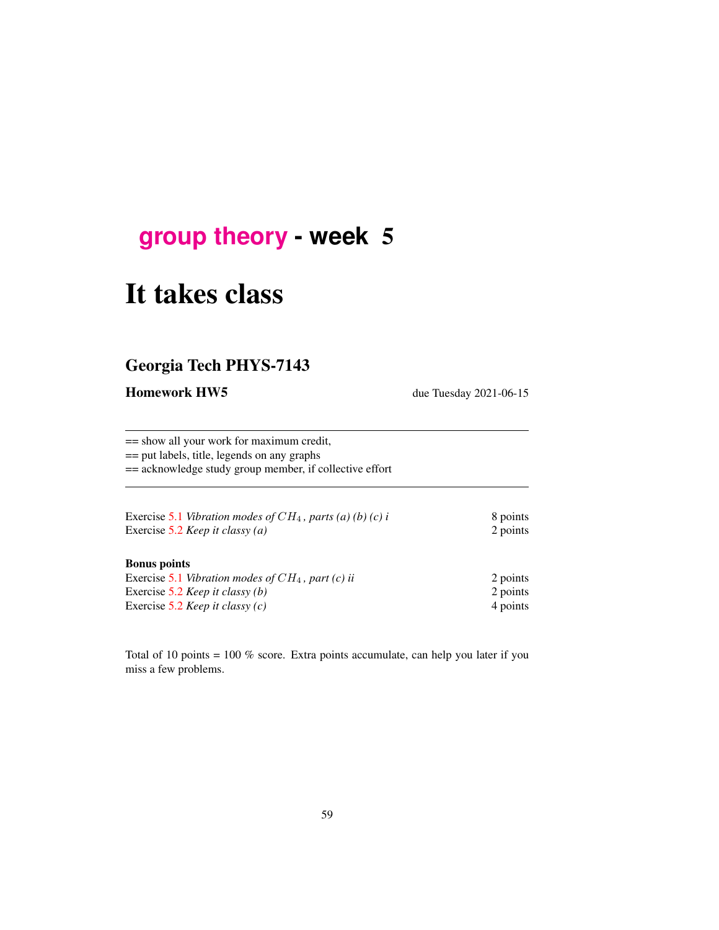## **[group theory](http://birdtracks.eu/course3/schedule.html) - week** 5

# It takes class

## Georgia Tech PHYS-7143

Homework HW5 due Tuesday 2021-06-15

== show all your work for maximum credit, == put labels, title, legends on any graphs == acknowledge study group member, if collective effort

| Exercise 5.1 Vibration modes of $CH_4$ , parts (a) (b) (c) i<br>Exercise 5.2 <i>Keep it classy (a)</i> | 8 points<br>2 points |
|--------------------------------------------------------------------------------------------------------|----------------------|
| <b>Bonus</b> points                                                                                    |                      |
| Exercise 5.1 Vibration modes of $CH_4$ , part (c) ii                                                   | 2 points             |
| Exercise 5.2 <i>Keep it classy (b)</i>                                                                 | 2 points             |
| Exercise 5.2 <i>Keep it classy (c)</i>                                                                 | 4 points             |

Total of 10 points = 100 % score. Extra points accumulate, can help you later if you miss a few problems.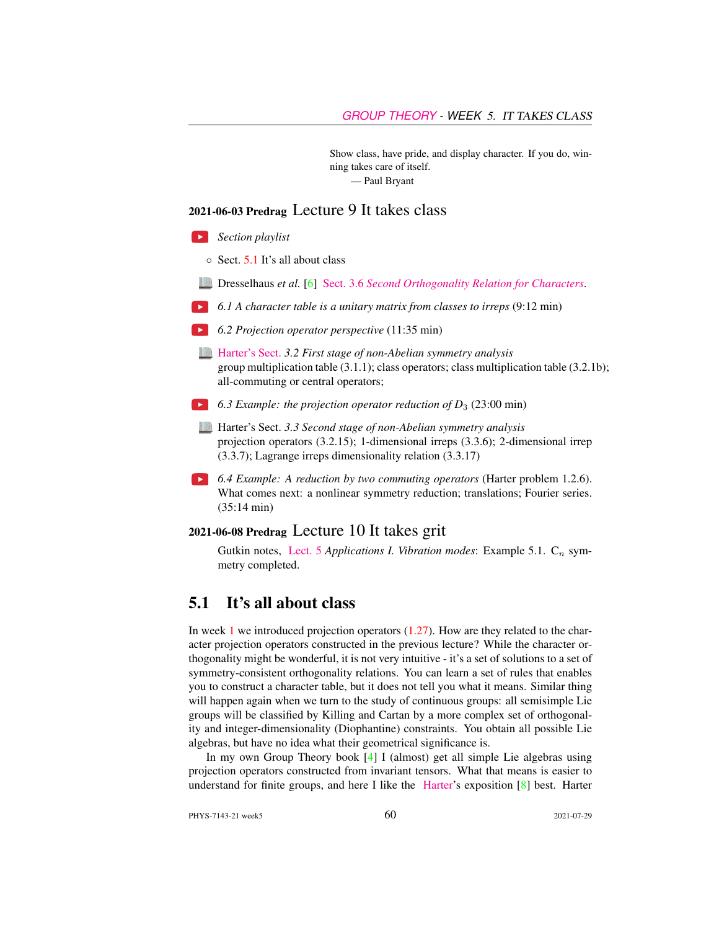Show class, have pride, and display character. If you do, winning takes care of itself. — Paul Bryant

#### 2021-06-03 Predrag Lecture 9 It takes class

- *Section playlist*
	- Sect. [5.1](#page-1-0) It's all about class
- Dresselhaus *et al.* [\[6\]](#page-5-0) Sect. 3.6 *[Second Orthogonality Relation for Characters](http://chaosbook.org/library/Dresselhaus07.pdf#page=41)*.
- *6.1 A character table is a unitary matrix from classes to irreps* (9:12 min)
- *6.2 Projection operator perspective* (11:35 min)
- [Harter's Sect.](http://www.uark.edu/ua/modphys/markup/PSDS_UnitsForceDL.php?fname=PSDS_Ch.3_(4.22.10).pdf) *3.2 First stage of non-Abelian symmetry analysis* group multiplication table (3.1.1); class operators; class multiplication table (3.2.1b); all-commuting or central operators;
- *6.3 Example: the projection operator reduction of D*<sup>3</sup> (23:00 min)
	- Harter's Sect. *3.3 Second stage of non-Abelian symmetry analysis* projection operators (3.2.15); 1-dimensional irreps (3.3.6); 2-dimensional irrep (3.3.7); Lagrange irreps dimensionality relation (3.3.17)
- *6.4 Example: A reduction by two commuting operators* (Harter problem 1.2.6). What comes next: a nonlinear symmetry reduction; translations; Fourier series. (35:14 min)

#### 2021-06-08 Predrag Lecture 10 It takes grit

Gutkin notes, [Lect. 5](http://birdtracks.eu/course3/groups.pdf#chapter.4) *Applications I. Vibration modes*: Example 5.1.  $C_n$  symmetry completed.

## <span id="page-1-0"></span>5.1 It's all about class

In week 1 we introduced projection operators  $(1.27)$ . How are they related to the character projection operators constructed in the previous lecture? While the character orthogonality might be wonderful, it is not very intuitive - it's a set of solutions to a set of symmetry-consistent orthogonality relations. You can learn a set of rules that enables you to construct a character table, but it does not tell you what it means. Similar thing will happen again when we turn to the study of continuous groups: all semisimple Lie groups will be classified by Killing and Cartan by a more complex set of orthogonality and integer-dimensionality (Diophantine) constraints. You obtain all possible Lie algebras, but have no idea what their geometrical significance is.

In my own Group Theory book [\[4\]](#page-5-1) I (almost) get all simple Lie algebras using projection operators constructed from invariant tensors. What that means is easier to understand for finite groups, and here I like the [Harter'](http://www.uark.edu/ua/modphys/markup/PSDS_Info.html)s exposition [\[8\]](#page-5-2) best. Harter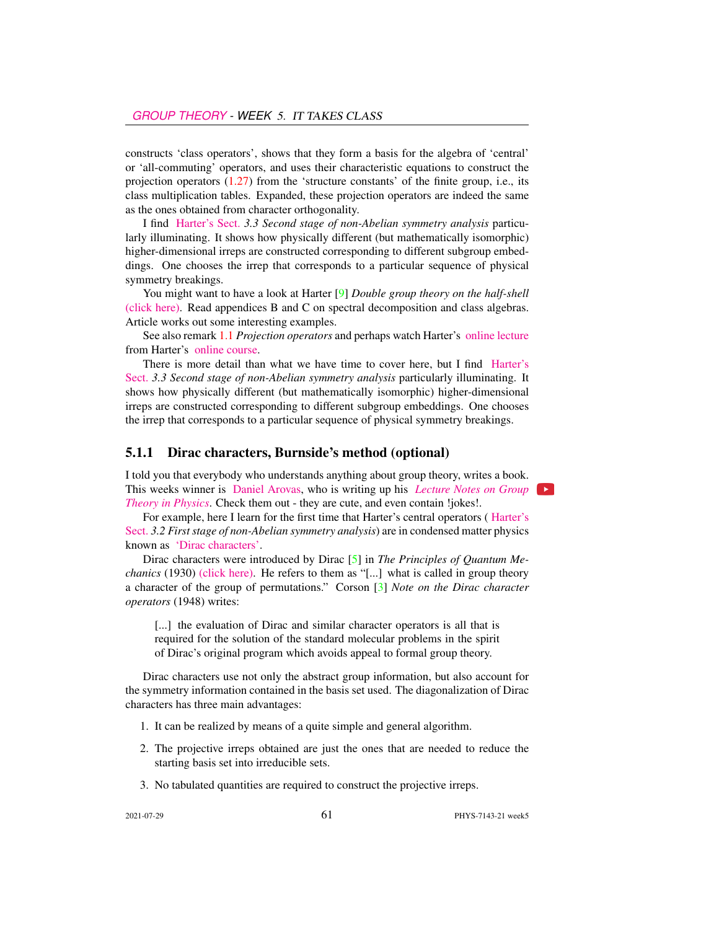constructs 'class operators', shows that they form a basis for the algebra of 'central' or 'all-commuting' operators, and uses their characteristic equations to construct the projection operators  $(1.27)$  from the 'structure constants' of the finite group, i.e., its class multiplication tables. Expanded, these projection operators are indeed the same as the ones obtained from character orthogonality.

I find [Harter's Sect.](http://www.uark.edu/ua/modphys/markup/PSDS_UnitsForceDL.php?fname=PSDS_Ch.3_(4.22.10).pdf) *3.3 Second stage of non-Abelian symmetry analysis* particularly illuminating. It shows how physically different (but mathematically isomorphic) higher-dimensional irreps are constructed corresponding to different subgroup embeddings. One chooses the irrep that corresponds to a particular sequence of physical symmetry breakings.

You might want to have a look at Harter [\[9\]](#page-5-3) *Double group theory on the half-shell* [\(click here\).](http://ChaosBook.org/library/Harter78.pdf) Read appendices B and C on spectral decomposition and class algebras. Article works out some interesting examples.

See also remark 1.1 *Projection operators* and perhaps watch Harter's [online lecture](https://www.youtube.com/watch?v=jLO7-Pks0QM) from Harter's [online course.](http://www.uark.edu/ua/modphys/markup/GTQM_TitlePage_2015.html)

There is more detail than what we have time to cover here, but I find [Harter's](http://www.uark.edu/ua/modphys/markup/PSDS_UnitsForceDL.php?fname=PSDS_Ch.3_(4.22.10).pdf) [Sect.](http://www.uark.edu/ua/modphys/markup/PSDS_UnitsForceDL.php?fname=PSDS_Ch.3_(4.22.10).pdf) *3.3 Second stage of non-Abelian symmetry analysis* particularly illuminating. It shows how physically different (but mathematically isomorphic) higher-dimensional irreps are constructed corresponding to different subgroup embeddings. One chooses the irrep that corresponds to a particular sequence of physical symmetry breakings.

#### 5.1.1 Dirac characters, Burnside's method (optional)

I told you that everybody who understands anything about group theory, writes a book. [T](https://courses.physics.ucsd.edu/2016/Spring/physics220/LECTURES/GROUP_THEORY.pdf)his weeks winner is [Daniel Arovas,](https://twitter.com/dparovas/status/1200245928570974209) [who is writing up his](https://courses.physics.ucsd.edu/2016/Spring/physics220/LECTURES/GROUP_THEORY.pdf) *[Lecture Notes on Group](https://courses.physics.ucsd.edu/2016/Spring/physics220/LECTURES/GROUP_THEORY.pdf) [Theory in Physics](https://courses.physics.ucsd.edu/2016/Spring/physics220/LECTURES/GROUP_THEORY.pdf)*. Check them out - they are cute, and even contain !jokes!.

For example, here I learn for the first time that Harter's central operators ( [Harter's](http://www.uark.edu/ua/modphys/markup/PSDS_UnitsForceDL.php?fname=PSDS_Ch.3_(4.22.10).pdf) [Sect.](http://www.uark.edu/ua/modphys/markup/PSDS_UnitsForceDL.php?fname=PSDS_Ch.3_(4.22.10).pdf) *3.2 First stage of non-Abelian symmetry analysis*) are in condensed matter physics known as ['Dirac characters'.](https://courses.physics.ucsd.edu/2016/Spring/physics220/LECTURES/GROUP_THEORY.pdf#subsection.2.3.3)

Dirac characters were introduced by Dirac [\[5\]](#page-5-4) in *The Principles of Quantum Mechanics* (1930) [\(click here\).](http://ChaosBook.org/library/Dirac30.pdf) He refers to them as "[...] what is called in group theory a character of the group of permutations." Corson [\[3\]](#page-5-5) *Note on the Dirac character operators* (1948) writes:

[...] the evaluation of Dirac and similar character operators is all that is required for the solution of the standard molecular problems in the spirit of Dirac's original program which avoids appeal to formal group theory.

Dirac characters use not only the abstract group information, but also account for the symmetry information contained in the basis set used. The diagonalization of Dirac characters has three main advantages:

- 1. It can be realized by means of a quite simple and general algorithm.
- 2. The projective irreps obtained are just the ones that are needed to reduce the starting basis set into irreducible sets.
- 3. No tabulated quantities are required to construct the projective irreps.

 $\rightarrow$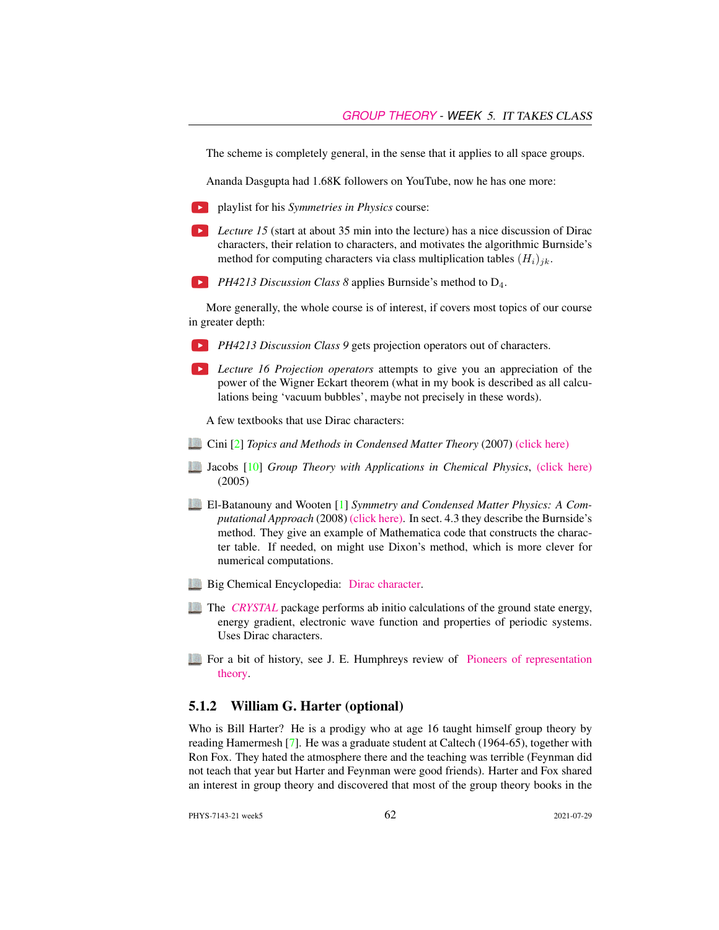The scheme is completely general, in the sense that it applies to all space groups.

Ananda Dasgupta had 1.68K followers on YouTube, now he has one more:

- playlist for his *Symmetries in Physics* course:
- **Lecture 15** (start at about 35 min into the lecture) has a nice discussion of Dirac characters, their relation to characters, and motivates the algorithmic Burnside's method for computing characters via class multiplication tables  $(H_i)_{ik}$ .
- **PH4213 Discussion Class 8 applies Burnside's method to D<sub>4</sub>.**

More generally, the whole course is of interest, if covers most topics of our course in greater depth:

- **PH4213 Discussion Class 9 gets projection operators out of characters.**
- **Lecture 16 Projection operators attempts to give you an appreciation of the** power of the Wigner Eckart theorem (what in my book is described as all calculations being 'vacuum bubbles', maybe not precisely in these words).

A few textbooks that use Dirac characters:

- Cini [\[2\]](#page-5-6) *Topics and Methods in Condensed Matter Theory* (2007) [\(click here\)](http://ChaosBook.org/library/Cini07.pdf)
- Jacobs [\[10\]](#page-5-7) *Group Theory with Applications in Chemical Physics*, [\(click here\)](http://ChaosBook.org/library/Jacobs05.pdf) (2005)
- El-Batanouny and Wooten [\[1\]](#page-5-8) *Symmetry and Condensed Matter Physics: A Computational Approach* (2008) [\(click here\).](http://ChaosBook.org/library/ElBWoo08.pdf) In sect. 4.3 they describe the Burnside's method. They give an example of Mathematica code that constructs the character table. If needed, on might use Dixon's method, which is more clever for numerical computations.
- **Big Chemical Encyclopedia: [Dirac character.](https://chempedia.info/info/dirac_character/)**
- The *[CRYSTAL](https://www.afrl.hpc.mil/software/info/crystal/crystal14.pdf)* package performs ab initio calculations of the ground state energy, energy gradient, electronic wave function and properties of periodic systems. Uses Dirac characters.
- For a bit of history, see J. E. Humphreys review of [Pioneers of representation](https://www.ams.org/journals/bull/2000-37-03/S0273-0979-00-00867-3/S0273-0979-00-00867-3.pdf) [theory.](https://www.ams.org/journals/bull/2000-37-03/S0273-0979-00-00867-3/S0273-0979-00-00867-3.pdf)

#### 5.1.2 William G. Harter (optional)

Who is Bill Harter? He is a prodigy who at age 16 taught himself group theory by reading Hamermesh [\[7\]](#page-5-9). He was a graduate student at Caltech (1964-65), together with Ron Fox. They hated the atmosphere there and the teaching was terrible (Feynman did not teach that year but Harter and Feynman were good friends). Harter and Fox shared an interest in group theory and discovered that most of the group theory books in the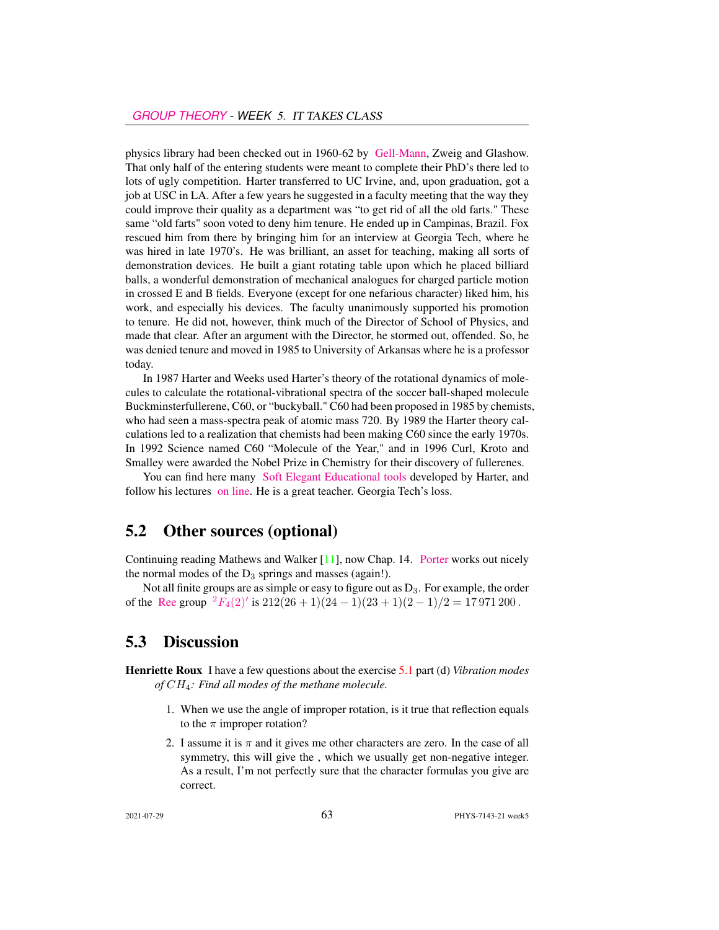physics library had been checked out in 1960-62 by [Gell-Mann,](https://www.nytimes.com/2019/05/24/obituaries/murray-gell-mann-died-.html) Zweig and Glashow. That only half of the entering students were meant to complete their PhD's there led to lots of ugly competition. Harter transferred to UC Irvine, and, upon graduation, got a job at USC in LA. After a few years he suggested in a faculty meeting that the way they could improve their quality as a department was "to get rid of all the old farts." These same "old farts" soon voted to deny him tenure. He ended up in Campinas, Brazil. Fox rescued him from there by bringing him for an interview at Georgia Tech, where he was hired in late 1970's. He was brilliant, an asset for teaching, making all sorts of demonstration devices. He built a giant rotating table upon which he placed billiard balls, a wonderful demonstration of mechanical analogues for charged particle motion in crossed E and B fields. Everyone (except for one nefarious character) liked him, his work, and especially his devices. The faculty unanimously supported his promotion to tenure. He did not, however, think much of the Director of School of Physics, and made that clear. After an argument with the Director, he stormed out, offended. So, he was denied tenure and moved in 1985 to University of Arkansas where he is a professor today.

In 1987 Harter and Weeks used Harter's theory of the rotational dynamics of molecules to calculate the rotational-vibrational spectra of the soccer ball-shaped molecule Buckminsterfullerene, C60, or "buckyball." C60 had been proposed in 1985 by chemists, who had seen a mass-spectra peak of atomic mass 720. By 1989 the Harter theory calculations led to a realization that chemists had been making C60 since the early 1970s. In 1992 Science named C60 "Molecule of the Year," and in 1996 Curl, Kroto and Smalley were awarded the Nobel Prize in Chemistry for their discovery of fullerenes.

You can find here many [Soft Elegant Educational tools](http://www.uark.edu/ua/modphys/markup/Harter-SoftWebApps.html) developed by Harter, and follow his lectures [on line.](https://www.youtube.com/channel/UC2KBYYdZOfotnkUOTthDjRA) He is a great teacher. Georgia Tech's loss.

### 5.2 Other sources (optional)

Continuing reading Mathews and Walker [\[11\]](#page-5-10), now Chap. 14. [Porter](http://chaosbook.org/~predrag/courses/PHYS-7143-08/Porter3-10.pdf) works out nicely the normal modes of the  $D_3$  springs and masses (again!).

Not all finite groups are as simple or easy to figure out as  $D_3$ . For example, the order of the [Ree](https://en.wikipedia.org/wiki/List_of_finite_simple_groups) group  ${}^{2}F_{4}(2)'$  ${}^{2}F_{4}(2)'$  ${}^{2}F_{4}(2)'$  is  $212(26+1)(24-1)(23+1)(2-1)/2 = 17971200$ .

### 5.3 Discussion

Henriette Roux I have a few questions about the exercise [5.1](#page-6-0) part (d) *Vibration modes of* CH4*: Find all modes of the methane molecule.*

- 1. When we use the angle of improper rotation, is it true that reflection equals to the  $\pi$  improper rotation?
- 2. I assume it is  $\pi$  and it gives me other characters are zero. In the case of all symmetry, this will give the , which we usually get non-negative integer. As a result, I'm not perfectly sure that the character formulas you give are correct.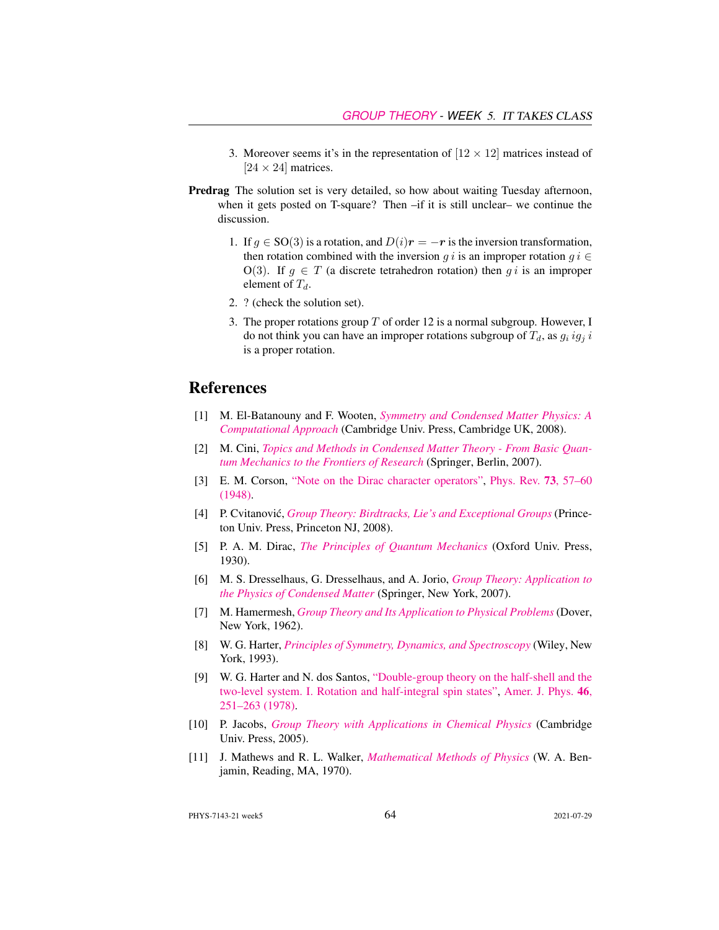- 3. Moreover seems it's in the representation of  $[12 \times 12]$  matrices instead of  $[24 \times 24]$  matrices.
- Predrag The solution set is very detailed, so how about waiting Tuesday afternoon, when it gets posted on T-square? Then –if it is still unclear– we continue the discussion.
	- 1. If  $q \in SO(3)$  is a rotation, and  $D(i)r = -r$  is the inversion transformation, then rotation combined with the inversion g i is an improper rotation  $g i \in$ O(3). If  $g \in T$  (a discrete tetrahedron rotation) then g i is an improper element of  $T_d$ .
	- 2. ? (check the solution set).
	- 3. The proper rotations group  $T$  of order 12 is a normal subgroup. However, I do not think you can have an improper rotations subgroup of  $T_d$ , as  $g_i ig_i$  i is a proper rotation.

## References

- <span id="page-5-8"></span>[1] M. El-Batanouny and F. Wooten, *[Symmetry and Condensed Matter Physics: A](http://dx.doi.org/10.1017/CBO9780511755736​) [Computational Approach](http://dx.doi.org/10.1017/CBO9780511755736​)* (Cambridge Univ. Press, Cambridge UK, 2008).
- <span id="page-5-6"></span>[2] M. Cini, *[Topics and Methods in Condensed Matter Theory - From Basic Quan](http://dx.doi.org/10.1007/978-3-540-70727-1)[tum Mechanics to the Frontiers of Research](http://dx.doi.org/10.1007/978-3-540-70727-1)* (Springer, Berlin, 2007).
- <span id="page-5-5"></span>[3] E. M. Corson, ["Note on the Dirac character operators",](http://dx.doi.org/10.1103/physrev.73.57) [Phys. Rev.](https://doi.org/10.1103/physrev.73.57) 73, 57–60 [\(1948\).](https://doi.org/10.1103/physrev.73.57)
- <span id="page-5-1"></span>[4] P. Cvitanovic,´ *[Group Theory: Birdtracks, Lie's and Exceptional Groups](http://dx.doi.org/10.1515/9781400837670)* (Princeton Univ. Press, Princeton NJ, 2008).
- <span id="page-5-4"></span>[5] P. A. M. Dirac, *[The Principles of Quantum Mechanics](https://archive.org/details/dli.ernet.212159/mode/2up)* (Oxford Univ. Press, 1930).
- <span id="page-5-0"></span>[6] M. S. Dresselhaus, G. Dresselhaus, and A. Jorio, *[Group Theory: Application to](http://dx.doi.org/10.1007/978-3-540-32899-5) [the Physics of Condensed Matter](http://dx.doi.org/10.1007/978-3-540-32899-5)* (Springer, New York, 2007).
- <span id="page-5-9"></span>[7] M. Hamermesh, *[Group Theory and Its Application to Physical Problems](http://dx.doi.org/10.1119/1.1941790)* (Dover, New York, 1962).
- <span id="page-5-2"></span>[8] W. G. Harter, *[Principles of Symmetry, Dynamics, and Spectroscopy](http://www.uark.edu/ua/modphys/markup/PSDS_Info.html)* (Wiley, New York, 1993).
- <span id="page-5-3"></span>[9] W. G. Harter and N. dos Santos, ["Double-group theory on the half-shell and the](http://dx.doi.org/10.1119/1.11134) [two-level system. I. Rotation and half-integral spin states",](http://dx.doi.org/10.1119/1.11134) [Amer. J. Phys.](https://doi.org/10.1119/1.11134) 46, [251–263 \(1978\).](https://doi.org/10.1119/1.11134)
- <span id="page-5-7"></span>[10] P. Jacobs, *[Group Theory with Applications in Chemical Physics](http://dx.doi.org/10.1017/CBO9780511535390)* (Cambridge Univ. Press, 2005).
- <span id="page-5-10"></span>[11] J. Mathews and R. L. Walker, *[Mathematical Methods of Physics](http://dx.doi.org/10.2307/2316002)* (W. A. Benjamin, Reading, MA, 1970).

PHYS-7143-21 week5 64 2021-07-29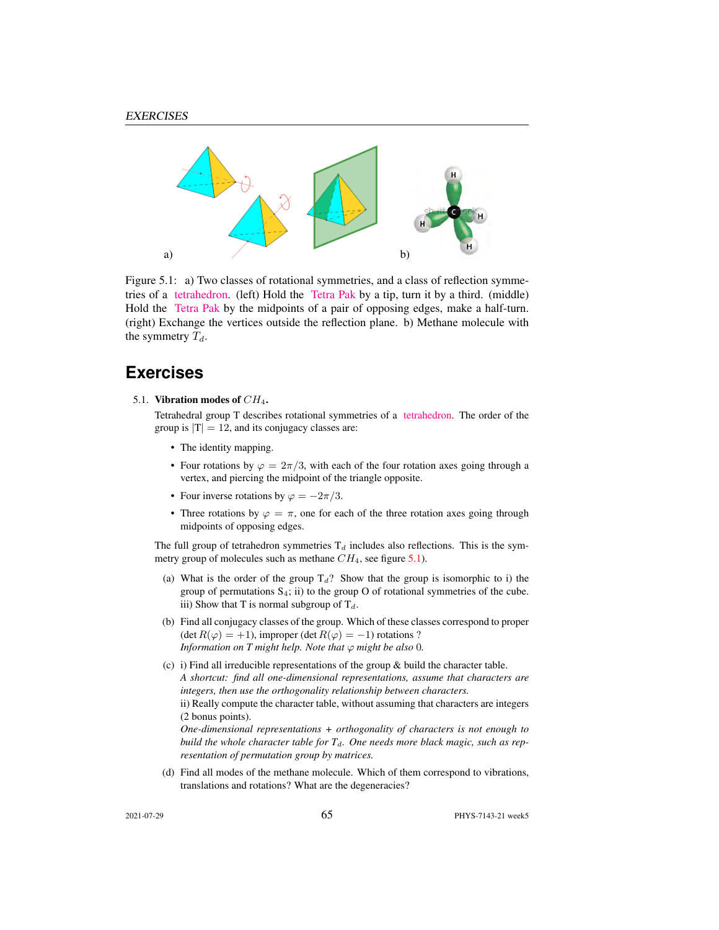

Figure 5.1: a) Two classes of rotational symmetries, and a class of reflection symmetries of a [tetrahedron.](https://flic.kr/p/a5oFBF) (left) Hold the [Tetra Pak](https://www.youtube.com/watch?v=ztOLwig7v5Q) by a tip, turn it by a third. (middle) Hold the [Tetra Pak](https://flic.kr/p/aUdHDx) by the midpoints of a pair of opposing edges, make a half-turn. (right) Exchange the vertices outside the reflection plane. b) Methane molecule with the symmetry  $T_d$ .

## **Exercises**

<span id="page-6-0"></span>5.1. Vibration modes of  $CH_4$ .

Tetrahedral group T describes rotational symmetries of a [tetrahedron.](https://www.youtube.com/watch?v=OsNXsckES7w) The order of the group is  $|T| = 12$ , and its conjugacy classes are:

- The identity mapping.
- Four rotations by  $\varphi = 2\pi/3$ , with each of the four rotation axes going through a vertex, and piercing the midpoint of the triangle opposite.
- Four inverse rotations by  $\varphi = -2\pi/3$ .
- Three rotations by  $\varphi = \pi$ , one for each of the three rotation axes going through midpoints of opposing edges.

The full group of tetrahedron symmetries  $T_d$  includes also reflections. This is the symmetry group of molecules such as methane  $CH_4$ , see figure [5.1\)](#page-6-0).

- (a) What is the order of the group  $T_d$ ? Show that the group is isomorphic to i) the group of permutations  $S_4$ ; ii) to the group O of rotational symmetries of the cube. iii) Show that T is normal subgroup of  $T_d$ .
- (b) Find all conjugacy classes of the group. Which of these classes correspond to proper (det  $R(\varphi) = +1$ ), improper (det  $R(\varphi) = -1$ ) rotations ? *Information on T might help. Note that*  $\varphi$  *might be also* 0*.*
- (c) i) Find all irreducible representations of the group & build the character table. *A shortcut: find all one-dimensional representations, assume that characters are integers, then use the orthogonality relationship between characters.* ii) Really compute the character table, without assuming that characters are integers (2 bonus points). *One-dimensional representations + orthogonality of characters is not enough to*

*build the whole character table for*  $T<sub>d</sub>$ *. One needs more black magic, such as representation of permutation group by matrices.*

(d) Find all modes of the methane molecule. Which of them correspond to vibrations, translations and rotations? What are the degeneracies?